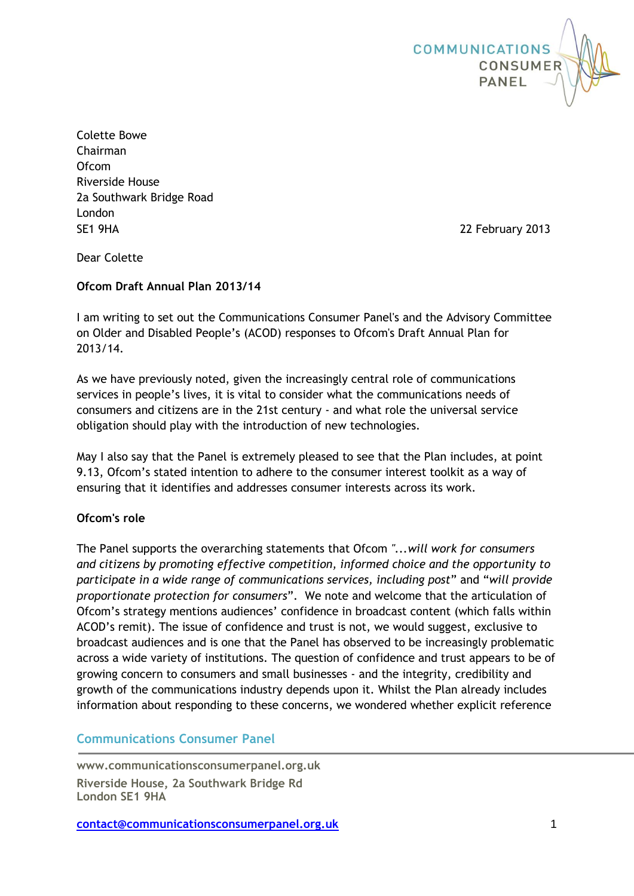

Colette Bowe Chairman Ofcom Riverside House 2a Southwark Bridge Road London SE1 9HA 22 February 2013

Dear Colette

# **Ofcom Draft Annual Plan 2013/14**

I am writing to set out the Communications Consumer Panel's and the Advisory Committee on Older and Disabled People's (ACOD) responses to Ofcom's Draft Annual Plan for 2013/14.

As we have previously noted, given the increasingly central role of communications services in people's lives, it is vital to consider what the communications needs of consumers and citizens are in the 21st century - and what role the universal service obligation should play with the introduction of new technologies.

May I also say that the Panel is extremely pleased to see that the Plan includes, at point 9.13, Ofcom's stated intention to adhere to the consumer interest toolkit as a way of ensuring that it identifies and addresses consumer interests across its work.

# **Ofcom's role**

The Panel supports the overarching statements that Ofcom *"...will work for consumers and citizens by promoting effective competition, informed choice and the opportunity to participate in a wide range of communications services, including post*" and "*will provide proportionate protection for consumers*". We note and welcome that the articulation of Ofcom's strategy mentions audiences' confidence in broadcast content (which falls within ACOD's remit). The issue of confidence and trust is not, we would suggest, exclusive to broadcast audiences and is one that the Panel has observed to be increasingly problematic across a wide variety of institutions. The question of confidence and trust appears to be of growing concern to consumers and small businesses - and the integrity, credibility and growth of the communications industry depends upon it. Whilst the Plan already includes information about responding to these concerns, we wondered whether explicit reference

# **Communications Consumer Panel**

**www.communicationsconsumerpanel.org.uk Riverside House, 2a Southwark Bridge Rd London SE1 9HA**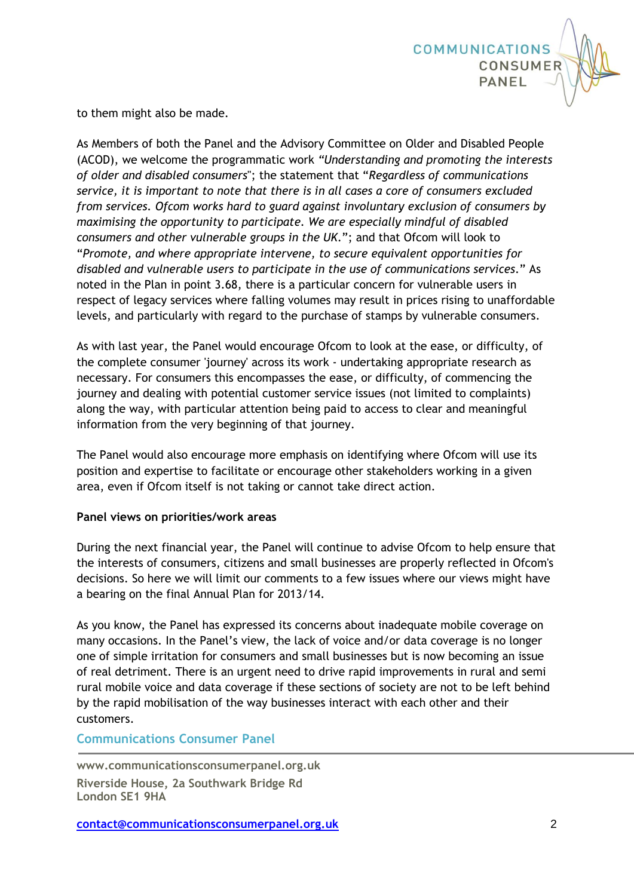

to them might also be made.

As Members of both the Panel and the Advisory Committee on Older and Disabled People (ACOD), we welcome the programmatic work *"Understanding and promoting the interests of older and disabled consumers*"; the statement that "*Regardless of communications service, it is important to note that there is in all cases a core of consumers excluded from services. Ofcom works hard to guard against involuntary exclusion of consumers by maximising the opportunity to participate. We are especially mindful of disabled consumers and other vulnerable groups in the UK*."; and that Ofcom will look to "*Promote, and where appropriate intervene, to secure equivalent opportunities for disabled and vulnerable users to participate in the use of communications services*." As noted in the Plan in point 3.68, there is a particular concern for vulnerable users in respect of legacy services where falling volumes may result in prices rising to unaffordable levels, and particularly with regard to the purchase of stamps by vulnerable consumers.

As with last year, the Panel would encourage Ofcom to look at the ease, or difficulty, of the complete consumer 'journey' across its work - undertaking appropriate research as necessary. For consumers this encompasses the ease, or difficulty, of commencing the journey and dealing with potential customer service issues (not limited to complaints) along the way, with particular attention being paid to access to clear and meaningful information from the very beginning of that journey.

The Panel would also encourage more emphasis on identifying where Ofcom will use its position and expertise to facilitate or encourage other stakeholders working in a given area, even if Ofcom itself is not taking or cannot take direct action.

# **Panel views on priorities/work areas**

During the next financial year, the Panel will continue to advise Ofcom to help ensure that the interests of consumers, citizens and small businesses are properly reflected in Ofcom's decisions. So here we will limit our comments to a few issues where our views might have a bearing on the final Annual Plan for 2013/14.

As you know, the Panel has expressed its concerns about inadequate mobile coverage on many occasions. In the Panel's view, the lack of voice and/or data coverage is no longer one of simple irritation for consumers and small businesses but is now becoming an issue of real detriment. There is an urgent need to drive rapid improvements in rural and semi rural mobile voice and data coverage if these sections of society are not to be left behind by the rapid mobilisation of the way businesses interact with each other and their customers.

# **Communications Consumer Panel**

**www.communicationsconsumerpanel.org.uk Riverside House, 2a Southwark Bridge Rd London SE1 9HA**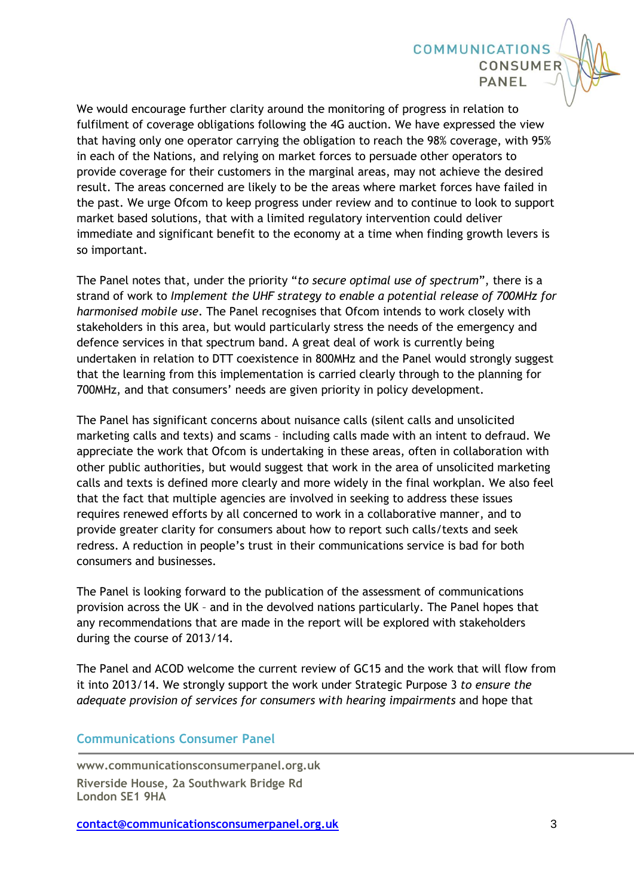We would encourage further clarity around the monitoring of progress in relation to fulfilment of coverage obligations following the 4G auction. We have expressed the view that having only one operator carrying the obligation to reach the 98% coverage, with 95% in each of the Nations, and relying on market forces to persuade other operators to provide coverage for their customers in the marginal areas, may not achieve the desired result. The areas concerned are likely to be the areas where market forces have failed in the past. We urge Ofcom to keep progress under review and to continue to look to support market based solutions, that with a limited regulatory intervention could deliver immediate and significant benefit to the economy at a time when finding growth levers is so important.

**COMMUNICATIONS** 

CONSUMER

PANEL

The Panel notes that, under the priority "*to secure optimal use of spectrum*", there is a strand of work to *Implement the UHF strategy to enable a potential release of 700MHz for harmonised mobile use*. The Panel recognises that Ofcom intends to work closely with stakeholders in this area, but would particularly stress the needs of the emergency and defence services in that spectrum band. A great deal of work is currently being undertaken in relation to DTT coexistence in 800MHz and the Panel would strongly suggest that the learning from this implementation is carried clearly through to the planning for 700MHz, and that consumers' needs are given priority in policy development.

The Panel has significant concerns about nuisance calls (silent calls and unsolicited marketing calls and texts) and scams – including calls made with an intent to defraud. We appreciate the work that Ofcom is undertaking in these areas, often in collaboration with other public authorities, but would suggest that work in the area of unsolicited marketing calls and texts is defined more clearly and more widely in the final workplan. We also feel that the fact that multiple agencies are involved in seeking to address these issues requires renewed efforts by all concerned to work in a collaborative manner, and to provide greater clarity for consumers about how to report such calls/texts and seek redress. A reduction in people's trust in their communications service is bad for both consumers and businesses.

The Panel is looking forward to the publication of the assessment of communications provision across the UK – and in the devolved nations particularly. The Panel hopes that any recommendations that are made in the report will be explored with stakeholders during the course of 2013/14.

The Panel and ACOD welcome the current review of GC15 and the work that will flow from it into 2013/14. We strongly support the work under Strategic Purpose 3 *to ensure the adequate provision of services for consumers with hearing impairments* and hope that

# **Communications Consumer Panel**

**www.communicationsconsumerpanel.org.uk Riverside House, 2a Southwark Bridge Rd London SE1 9HA**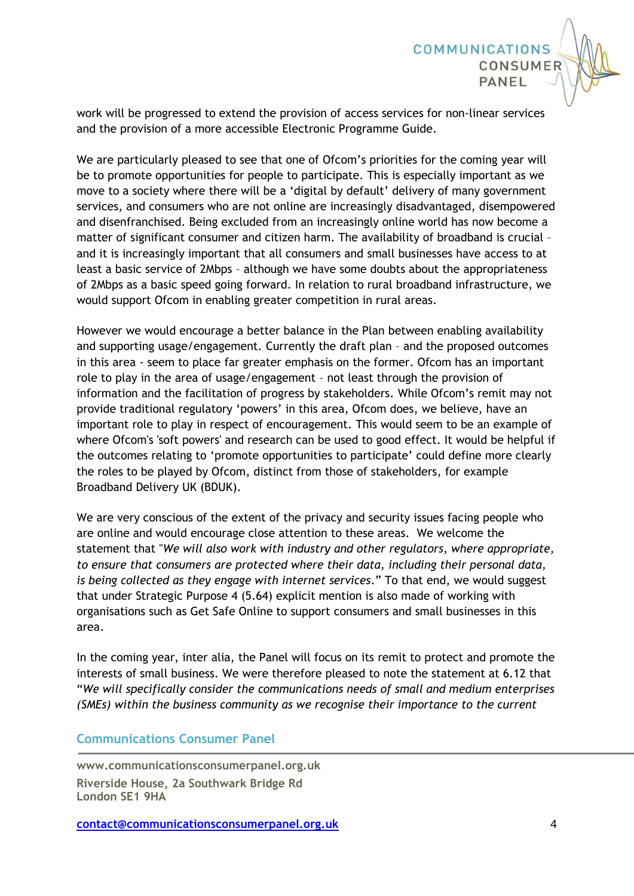

**COMMUNICATIONS** 

CONSUMER

PANEL

We are particularly pleased to see that one of Ofcom's priorities for the coming year will be to promote opportunities for people to participate. This is especially important as we move to a society where there will be a 'digital by default' delivery of many government services, and consumers who are not online are increasingly disadvantaged, disempowered and disenfranchised. Being excluded from an increasingly online world has now become a matter of significant consumer and citizen harm. The availability of broadband is crucial – and it is increasingly important that all consumers and small businesses have access to at least a basic service of 2Mbps – although we have some doubts about the appropriateness of 2Mbps as a basic speed going forward. In relation to rural broadband infrastructure, we would support Ofcom in enabling greater competition in rural areas.

However we would encourage a better balance in the Plan between enabling availability and supporting usage/engagement. Currently the draft plan – and the proposed outcomes in this area - seem to place far greater emphasis on the former. Ofcom has an important role to play in the area of usage/engagement – not least through the provision of information and the facilitation of progress by stakeholders. While Ofcom's remit may not provide traditional regulatory 'powers' in this area, Ofcom does, we believe, have an important role to play in respect of encouragement. This would seem to be an example of where Ofcom's 'soft powers' and research can be used to good effect. It would be helpful if the outcomes relating to 'promote opportunities to participate' could define more clearly the roles to be played by Ofcom, distinct from those of stakeholders, for example Broadband Delivery UK (BDUK).

We are very conscious of the extent of the privacy and security issues facing people who are online and would encourage close attention to these areas. We welcome the statement that "*We will also work with industry and other regulators, where appropriate, to ensure that consumers are protected where their data, including their personal data, is being collected as they engage with internet services*." To that end, we would suggest that under Strategic Purpose 4 (5.64) explicit mention is also made of working with organisations such as Get Safe Online to support consumers and small businesses in this area.

In the coming year, inter alia, the Panel will focus on its remit to protect and promote the interests of small business. We were therefore pleased to note the statement at 6.12 that "*We will specifically consider the communications needs of small and medium enterprises (SMEs) within the business community as we recognise their importance to the current* 

# **Communications Consumer Panel**

**www.communicationsconsumerpanel.org.uk Riverside House, 2a Southwark Bridge Rd London SE1 9HA**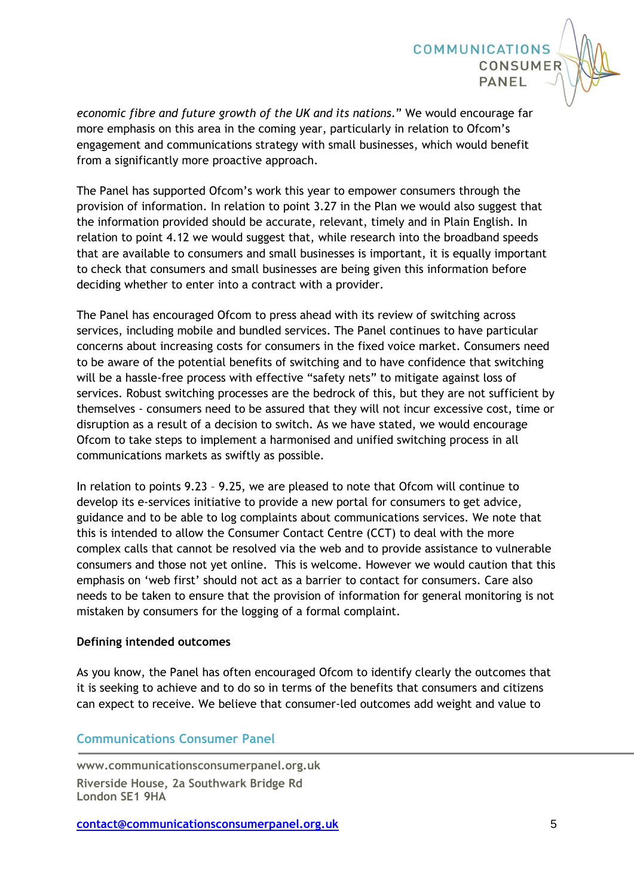*economic fibre and future growth of the UK and its nations*." We would encourage far more emphasis on this area in the coming year, particularly in relation to Ofcom's engagement and communications strategy with small businesses, which would benefit from a significantly more proactive approach.

**COMMUNICATIONS** 

CONSUMER

PANFI

The Panel has supported Ofcom's work this year to empower consumers through the provision of information. In relation to point 3.27 in the Plan we would also suggest that the information provided should be accurate, relevant, timely and in Plain English. In relation to point 4.12 we would suggest that, while research into the broadband speeds that are available to consumers and small businesses is important, it is equally important to check that consumers and small businesses are being given this information before deciding whether to enter into a contract with a provider.

The Panel has encouraged Ofcom to press ahead with its review of switching across services, including mobile and bundled services. The Panel continues to have particular concerns about increasing costs for consumers in the fixed voice market. Consumers need to be aware of the potential benefits of switching and to have confidence that switching will be a hassle-free process with effective "safety nets" to mitigate against loss of services. Robust switching processes are the bedrock of this, but they are not sufficient by themselves - consumers need to be assured that they will not incur excessive cost, time or disruption as a result of a decision to switch. As we have stated, we would encourage Ofcom to take steps to implement a harmonised and unified switching process in all communications markets as swiftly as possible.

In relation to points 9.23 – 9.25, we are pleased to note that Ofcom will continue to develop its e-services initiative to provide a new portal for consumers to get advice, guidance and to be able to log complaints about communications services. We note that this is intended to allow the Consumer Contact Centre (CCT) to deal with the more complex calls that cannot be resolved via the web and to provide assistance to vulnerable consumers and those not yet online. This is welcome. However we would caution that this emphasis on 'web first' should not act as a barrier to contact for consumers. Care also needs to be taken to ensure that the provision of information for general monitoring is not mistaken by consumers for the logging of a formal complaint.

### **Defining intended outcomes**

As you know, the Panel has often encouraged Ofcom to identify clearly the outcomes that it is seeking to achieve and to do so in terms of the benefits that consumers and citizens can expect to receive. We believe that consumer-led outcomes add weight and value to

# **Communications Consumer Panel**

**www.communicationsconsumerpanel.org.uk Riverside House, 2a Southwark Bridge Rd London SE1 9HA**